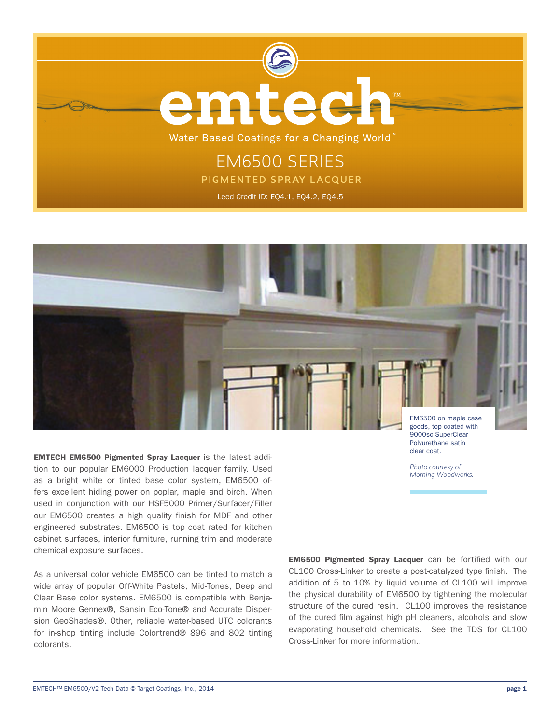



goods, top coated with 9000sc SuperClear Polyurethane satin clear coat.

*Photo courtesy of Morning Woodworks.*

EMTECH EM6500 Pigmented Spray Lacquer is the latest addition to our popular EM6000 Production lacquer family. Used as a bright white or tinted base color system, EM6500 offers excellent hiding power on poplar, maple and birch. When used in conjunction with our HSF5000 Primer/Surfacer/Filler our EM6500 creates a high quality finish for MDF and other engineered substrates. EM6500 is top coat rated for kitchen cabinet surfaces, interior furniture, running trim and moderate chemical exposure surfaces.

As a universal color vehicle EM6500 can be tinted to match a wide array of popular Off-White Pastels, Mid-Tones, Deep and Clear Base color systems. EM6500 is compatible with Benjamin Moore Gennex®, Sansin Eco-Tone® and Accurate Dispersion GeoShades®. Other, reliable water-based UTC colorants for in-shop tinting include Colortrend® 896 and 802 tinting colorants.

EM6500 Pigmented Spray Lacquer can be fortified with our CL100 Cross-Linker to create a post-catalyzed type finish. The addition of 5 to 10% by liquid volume of CL100 will improve the physical durability of EM6500 by tightening the molecular structure of the cured resin. CL100 improves the resistance of the cured film against high pH cleaners, alcohols and slow evaporating household chemicals. See the TDS for CL100 Cross-Linker for more information..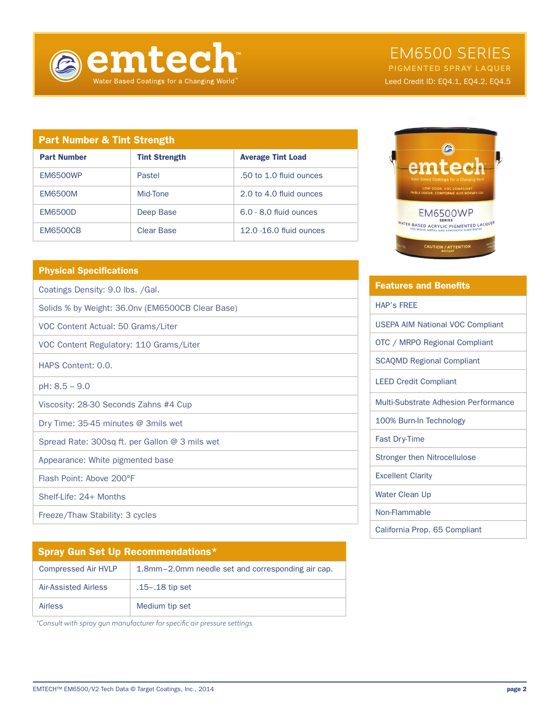

# EM6500 SERIES

PIGMENTED SPRAY LAQUER Leed Credit ID: EQ4.1, EQ4.2, EQ4.5

| <b>Part Number &amp; Tint Strength</b> |                      |                          |
|----------------------------------------|----------------------|--------------------------|
| <b>Part Number</b>                     | <b>Tint Strength</b> | <b>Average Tint Load</b> |
| <b>EM6500WP</b>                        | Pastel               | .50 to 1.0 fluid ounces  |
| <b>EM6500M</b>                         | Mid-Tone             | 2.0 to 4.0 fluid ounces  |
| <b>EM6500D</b>                         | Deep Base            | $6.0 - 8.0$ fluid ounces |
| <b>EM6500CB</b>                        | Clear Base           | 12.0 -16.0 fluid ounces  |

# Physical Specifications

Coatings Density: 9.0 lbs. /Gal.

Solids % by Weight: 36.0nv (EM6500CB Clear Base)

VOC Content Actual: 50 Grams/Liter

VOC Content Regulatory: 110 Grams/Liter

HAPS Content: 0.0.

pH: 8.5 – 9.0

Viscosity: 28-30 Seconds Zahns #4 Cup

Dry Time: 35-45 minutes @ 3mils wet

Spread Rate: 300sq ft. per Gallon @ 3 mils wet

Appearance: White pigmented base

Flash Point: Above 200°F

Shelf-Life: 24+ Months

Freeze/Thaw Stability: 3 cycles

| <b>Spray Gun Set Up Recommendations*</b> |                                                   |  |
|------------------------------------------|---------------------------------------------------|--|
| <b>Compressed Air HVLP</b>               | 1.8mm-2.0mm needle set and corresponding air cap. |  |
| Air-Assisted Airless                     | .15 - .18 tip set                                 |  |
| Airless                                  | Medium tip set                                    |  |

*\*Consult with spray gun manufacturer for specific air pressure settings.*



| <b>Features and Benefits</b>            |  |
|-----------------------------------------|--|
| <b>HAP's FREE</b>                       |  |
| <b>USEPA AIM National VOC Compliant</b> |  |
| OTC / MRPO Regional Compliant           |  |
| <b>SCAQMD Regional Compliant</b>        |  |
| <b>LEED Credit Compliant</b>            |  |
| Multi-Substrate Adhesion Performance    |  |
| 100% Burn-In Technology                 |  |
| <b>Fast Dry-Time</b>                    |  |
| <b>Stronger then Nitrocellulose</b>     |  |
| <b>Excellent Clarity</b>                |  |
| Water Clean Up                          |  |
| Non-Flammable                           |  |
| California Prop. 65 Compliant           |  |